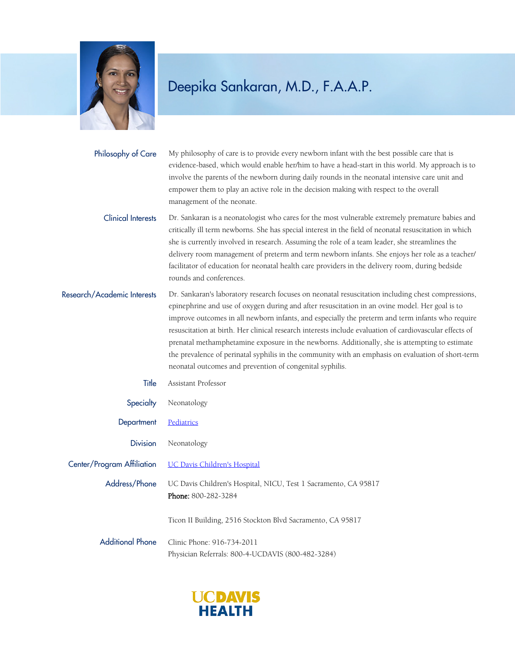

My philosophy of care is to provide every newborn infant with the best possible care that is evidence-based, which would enable her/him to have a head-start in this world. My approach is to involve the parents of the newborn during daily rounds in the neonatal intensive care unit and empower them to play an active role in the decision making with respect to the overall management of the neonate. Philosophy of Care

Dr. Sankaran is a neonatologist who cares for the most vulnerable extremely premature babies and critically ill term newborns. She has special interest in the field of neonatal resuscitation in which she is currently involved in research. Assuming the role of a team leader, she streamlines the delivery room management of preterm and term newborn infants. She enjoys her role as a teacher/ facilitator of education for neonatal health care providers in the delivery room, during bedside rounds and conferences. Clinical Interests

Dr. Sankaran's laboratory research focuses on neonatal resuscitation including chest compressions, epinephrine and use of oxygen during and after resuscitation in an ovine model. Her goal is to improve outcomes in all newborn infants, and especially the preterm and term infants who require resuscitation at birth. Her clinical research interests include evaluation of cardiovascular effects of prenatal methamphetamine exposure in the newborns. Additionally, she is attempting to estimate the prevalence of perinatal syphilis in the community with an emphasis on evaluation of short-term neonatal outcomes and prevention of congenital syphilis. Research/Academic Interests

| Title                   | Assistant Professor                                                                           |
|-------------------------|-----------------------------------------------------------------------------------------------|
| <b>Specialty</b>        | Neonatology                                                                                   |
| Department              | Pediatrics                                                                                    |
| <b>Division</b>         | Neonatology                                                                                   |
|                         | Center/Program Affiliation UC Davis Children's Hospital                                       |
| Address/Phone           | UC Davis Children's Hospital, NICU, Test 1 Sacramento, CA 95817<br><b>Phone: 800-282-3284</b> |
|                         | Ticon II Building, 2516 Stockton Blvd Sacramento, CA 95817                                    |
| <b>Additional Phone</b> | Clinic Phone: 916-734-2011<br>Physician Referrals: 800-4-UCDAVIS (800-482-3284)               |

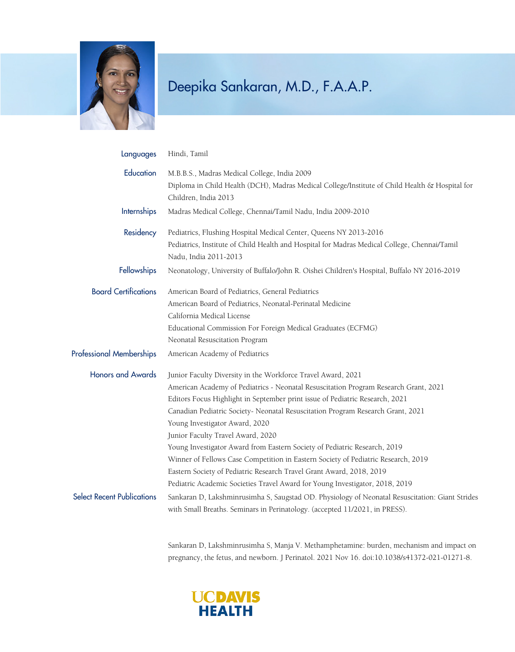

| Languages                         | Hindi, Tamil                                                                                                                                                                                                                                                                                                                                                                                                                                                                                                                                                                                                                                                                                                             |
|-----------------------------------|--------------------------------------------------------------------------------------------------------------------------------------------------------------------------------------------------------------------------------------------------------------------------------------------------------------------------------------------------------------------------------------------------------------------------------------------------------------------------------------------------------------------------------------------------------------------------------------------------------------------------------------------------------------------------------------------------------------------------|
| Education                         | M.B.B.S., Madras Medical College, India 2009<br>Diploma in Child Health (DCH), Madras Medical College/Institute of Child Health & Hospital for<br>Children, India 2013                                                                                                                                                                                                                                                                                                                                                                                                                                                                                                                                                   |
| Internships                       | Madras Medical College, Chennai/Tamil Nadu, India 2009-2010                                                                                                                                                                                                                                                                                                                                                                                                                                                                                                                                                                                                                                                              |
| Residency                         | Pediatrics, Flushing Hospital Medical Center, Queens NY 2013-2016<br>Pediatrics, Institute of Child Health and Hospital for Madras Medical College, Chennai/Tamil<br>Nadu, India 2011-2013                                                                                                                                                                                                                                                                                                                                                                                                                                                                                                                               |
| Fellowships                       | Neonatology, University of Buffalo/John R. Oishei Children's Hospital, Buffalo NY 2016-2019                                                                                                                                                                                                                                                                                                                                                                                                                                                                                                                                                                                                                              |
| <b>Board Certifications</b>       | American Board of Pediatrics, General Pediatrics<br>American Board of Pediatrics, Neonatal-Perinatal Medicine<br>California Medical License<br>Educational Commission For Foreign Medical Graduates (ECFMG)<br>Neonatal Resuscitation Program                                                                                                                                                                                                                                                                                                                                                                                                                                                                            |
| <b>Professional Memberships</b>   | American Academy of Pediatrics                                                                                                                                                                                                                                                                                                                                                                                                                                                                                                                                                                                                                                                                                           |
| <b>Honors and Awards</b>          | Junior Faculty Diversity in the Workforce Travel Award, 2021<br>American Academy of Pediatrics - Neonatal Resuscitation Program Research Grant, 2021<br>Editors Focus Highlight in September print issue of Pediatric Research, 2021<br>Canadian Pediatric Society- Neonatal Resuscitation Program Research Grant, 2021<br>Young Investigator Award, 2020<br>Junior Faculty Travel Award, 2020<br>Young Investigator Award from Eastern Society of Pediatric Research, 2019<br>Winner of Fellows Case Competition in Eastern Society of Pediatric Research, 2019<br>Eastern Society of Pediatric Research Travel Grant Award, 2018, 2019<br>Pediatric Academic Societies Travel Award for Young Investigator, 2018, 2019 |
| <b>Select Recent Publications</b> | Sankaran D, Lakshminrusimha S, Saugstad OD. Physiology of Neonatal Resuscitation: Giant Strides<br>with Small Breaths. Seminars in Perinatology. (accepted 11/2021, in PRESS).                                                                                                                                                                                                                                                                                                                                                                                                                                                                                                                                           |

Sankaran D, Lakshminrusimha S, Manja V. Methamphetamine: burden, mechanism and impact on pregnancy, the fetus, and newborn. J Perinatol. 2021 Nov 16. doi:10.1038/s41372-021-01271-8.

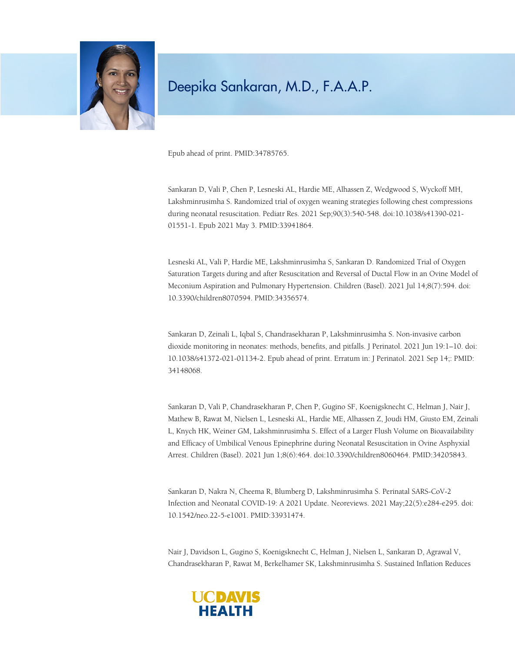

Epub ahead of print. PMID:34785765.

Sankaran D, Vali P, Chen P, Lesneski AL, Hardie ME, Alhassen Z, Wedgwood S, Wyckoff MH, Lakshminrusimha S. Randomized trial of oxygen weaning strategies following chest compressions during neonatal resuscitation. Pediatr Res. 2021 Sep;90(3):540-548. doi:10.1038/s41390-021- 01551-1. Epub 2021 May 3. PMID:33941864.

Lesneski AL, Vali P, Hardie ME, Lakshminrusimha S, Sankaran D. Randomized Trial of Oxygen Saturation Targets during and after Resuscitation and Reversal of Ductal Flow in an Ovine Model of Meconium Aspiration and Pulmonary Hypertension. Children (Basel). 2021 Jul 14;8(7):594. doi: 10.3390/children8070594. PMID:34356574.

Sankaran D, Zeinali L, Iqbal S, Chandrasekharan P, Lakshminrusimha S. Non-invasive carbon dioxide monitoring in neonates: methods, benefits, and pitfalls. J Perinatol. 2021 Jun 19:1–10. doi: 10.1038/s41372-021-01134-2. Epub ahead of print. Erratum in: J Perinatol. 2021 Sep 14;: PMID: 34148068.

Sankaran D, Vali P, Chandrasekharan P, Chen P, Gugino SF, Koenigsknecht C, Helman J, Nair J, Mathew B, Rawat M, Nielsen L, Lesneski AL, Hardie ME, Alhassen Z, Joudi HM, Giusto EM, Zeinali L, Knych HK, Weiner GM, Lakshminrusimha S. Effect of a Larger Flush Volume on Bioavailability and Efficacy of Umbilical Venous Epinephrine during Neonatal Resuscitation in Ovine Asphyxial Arrest. Children (Basel). 2021 Jun 1;8(6):464. doi:10.3390/children8060464. PMID:34205843.

Sankaran D, Nakra N, Cheema R, Blumberg D, Lakshminrusimha S. Perinatal SARS-CoV-2 Infection and Neonatal COVID-19: A 2021 Update. Neoreviews. 2021 May;22(5):e284-e295. doi: 10.1542/neo.22-5-e1001. PMID:33931474.

Nair J, Davidson L, Gugino S, Koenigsknecht C, Helman J, Nielsen L, Sankaran D, Agrawal V, Chandrasekharan P, Rawat M, Berkelhamer SK, Lakshminrusimha S. Sustained Inflation Reduces